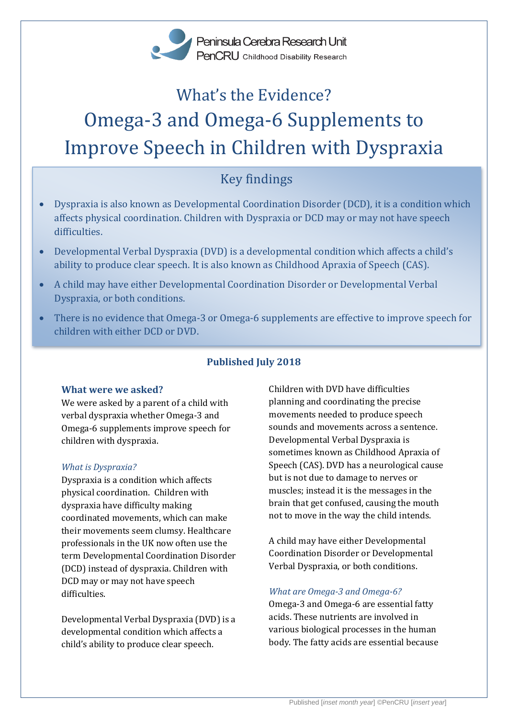Peninsula Cerebra Research Unit PenCRU Childhood Disability Research

# What's the Evidence? Omega-3 and Omega-6 Supplements to Improve Speech in Children with Dyspraxia

# Key findings

- Dyspraxia is also known as Developmental Coordination Disorder (DCD), it is a condition which affects physical coordination. Children with Dyspraxia or DCD may or may not have speech difficulties.
- Developmental Verbal Dyspraxia (DVD) is a developmental condition which affects a child's ability to produce clear speech. It is also known as Childhood Apraxia of Speech (CAS).
- A child may have either Developmental Coordination Disorder or Developmental Verbal Dyspraxia, or both conditions.
- There is no evidence that Omega-3 or Omega-6 supplements are effective to improve speech for children with either DCD or DVD.

# **Published July 2018**

# **What were we asked?**

We were asked by a parent of a child with verbal dyspraxia whether Omega-3 and Omega-6 supplements improve speech for children with dyspraxia.

#### *What is Dyspraxia?*

Dyspraxia is a condition which affects physical coordination. Children with dyspraxia have difficulty making coordinated movements, which can make their movements seem clumsy. Healthcare professionals in the UK now often use the term Developmental Coordination Disorder (DCD) instead of dyspraxia. Children with DCD may or may not have speech difficulties.

Developmental Verbal Dyspraxia (DVD) is a developmental condition which affects a child's ability to produce clear speech.

Children with DVD have difficulties planning and coordinating the precise movements needed to produce speech sounds and movements across a sentence. Developmental Verbal Dyspraxia is sometimes known as Childhood Apraxia of Speech (CAS). DVD has a neurological cause but is not due to damage to nerves or muscles; instead it is the messages in the brain that get confused, causing the mouth not to move in the way the child intends.

A child may have either Developmental Coordination Disorder or Developmental Verbal Dyspraxia, or both conditions.

# *What are Omega-3 and Omega-6?*

Omega-3 and Omega-6 are essential fatty acids. These nutrients are involved in various biological processes in the human body. The fatty acids are essential because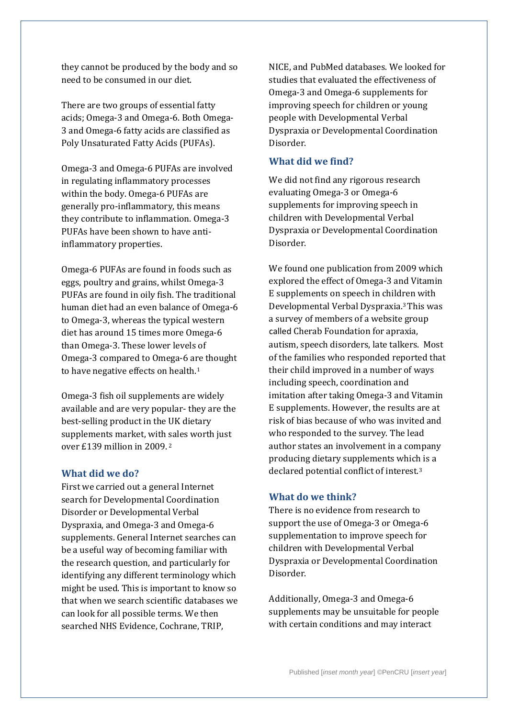they cannot be produced by the body and so need to be consumed in our diet.

There are two groups of essential fatty acids; Omega-3 and Omega-6. Both Omega-3 and Omega-6 fatty acids are classified as Poly Unsaturated Fatty Acids (PUFAs).

Omega-3 and Omega-6 PUFAs are involved in regulating inflammatory processes within the body. Omega-6 PUFAs are generally pro-inflammatory, this means they contribute to inflammation. Omega-3 PUFAs have been shown to have antiinflammatory properties.

Omega-6 PUFAs are found in foods such as eggs, poultry and grains, whilst Omega-3 PUFAs are found in oily fish. The traditional human diet had an even balance of Omega-6 to Omega-3, whereas the typical western diet has around 15 times more Omega-6 than Omega-3. These lower levels of Omega-3 compared to Omega-6 are thought to have negative effects on health.<sup>1</sup>

Omega-3 fish oil supplements are widely available and are very popular- they are the best-selling product in the UK dietary supplements market, with sales worth just over £139 million in 2009. <sup>2</sup>

#### **What did we do?**

First we carried out a general Internet search for Developmental Coordination Disorder or Developmental Verbal Dyspraxia, and Omega-3 and Omega-6 supplements. General Internet searches can be a useful way of becoming familiar with the research question, and particularly for identifying any different terminology which might be used. This is important to know so that when we search scientific databases we can look for all possible terms. We then searched NHS Evidence, Cochrane, TRIP,

NICE, and PubMed databases. We looked for studies that evaluated the effectiveness of Omega-3 and Omega-6 supplements for improving speech for children or young people with Developmental Verbal Dyspraxia or Developmental Coordination Disorder.

### **What did we find?**

We did not find any rigorous research evaluating Omega-3 or Omega-6 supplements for improving speech in children with Developmental Verbal Dyspraxia or Developmental Coordination Disorder.

We found one publication from 2009 which explored the effect of Omega-3 and Vitamin E supplements on speech in children with Developmental Verbal Dyspraxia. <sup>3</sup>This was a survey of members of a website group called Cherab Foundation for apraxia, autism, speech disorders, late talkers. Most of the families who responded reported that their child improved in a number of ways including speech, coordination and imitation after taking Omega-3 and Vitamin E supplements. However, the results are at risk of bias because of who was invited and who responded to the survey. The lead author states an involvement in a company producing dietary supplements which is a declared potential conflict of interest.<sup>3</sup>

#### **What do we think?**

There is no evidence from research to support the use of Omega-3 or Omega-6 supplementation to improve speech for children with Developmental Verbal Dyspraxia or Developmental Coordination Disorder.

Additionally, Omega-3 and Omega-6 supplements may be unsuitable for people with certain conditions and may interact